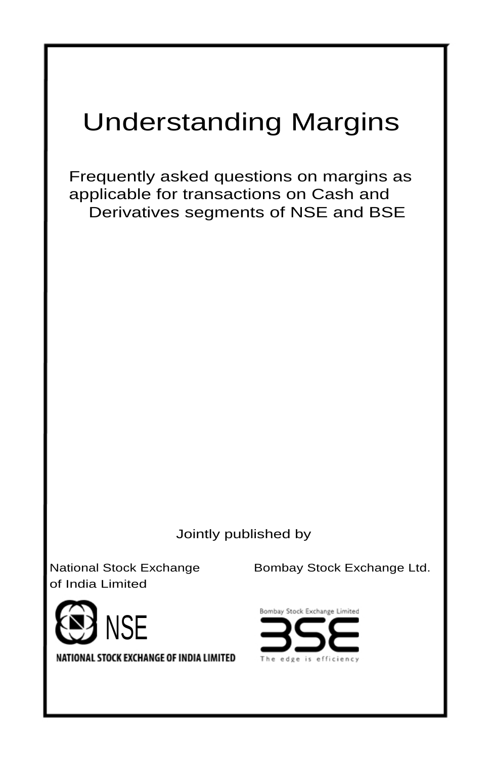# Understanding Margins

Frequently asked questions on margins as applicable for transactions on Cash and Derivatives segments of NSE and BSE

Jointly published by

of India Limited



NATIONAL STOCK EXCHANGE OF INDIA LIMITED

National Stock Exchange Bombay Stock Exchange Ltd.

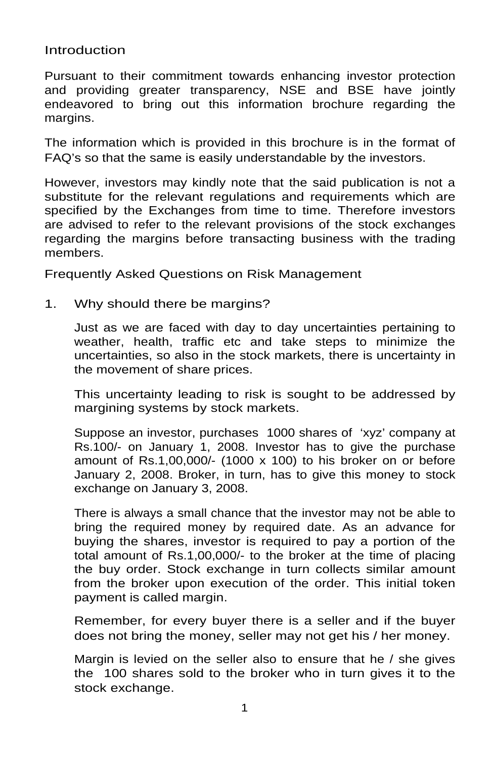Introduction

Pursuant to their commitment towards enhancing investor protection and providing greater transparency, NSE and BSE have jointly endeavored to bring out this information brochure regarding the margins.

The information which is provided in this brochure is in the format of FAQ's so that the same is easily understandable by the investors.

However, investors may kindly note that the said publication is not a substitute for the relevant regulations and requirements which are specified by the Exchanges from time to time. Therefore investors are advised to refer to the relevant provisions of the stock exchanges regarding the margins before transacting business with the trading members.

Frequently Asked Questions on Risk Management

1. Why should there be margins?

Just as we are faced with day to day uncertainties pertaining to weather, health, traffic etc and take steps to minimize the uncertainties, so also in the stock markets, there is uncertainty in the movement of share prices.

This uncertainty leading to risk is sought to be addressed by margining systems by stock markets.

Suppose an investor, purchases 1000 shares of 'xyz' company at Rs.100/- on January 1, 2008. Investor has to give the purchase amount of Rs.1,00,000/- (1000 x 100) to his broker on or before January 2, 2008. Broker, in turn, has to give this money to stock exchange on January 3, 2008.

There is always a small chance that the investor may not be able to bring the required money by required date. As an advance for buying the shares, investor is required to pay a portion of the total amount of Rs.1,00,000/- to the broker at the time of placing the buy order. Stock exchange in turn collects similar amount from the broker upon execution of the order. This initial token payment is called margin.

Remember, for every buyer there is a seller and if the buyer does not bring the money, seller may not get his / her money.

Margin is levied on the seller also to ensure that he / she gives the 100 shares sold to the broker who in turn gives it to the stock exchange.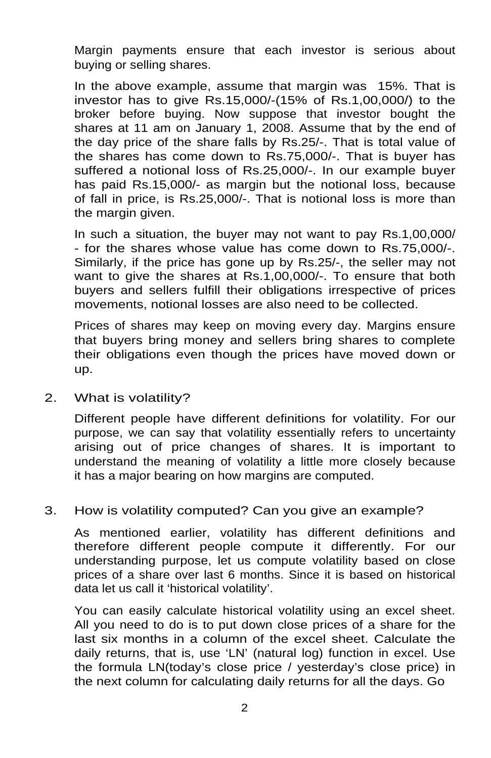Margin payments ensure that each investor is serious about buying or selling shares.

In the above example, assume that margin was 15%. That is investor has to give Rs.15,000/-(15% of Rs.1,00,000/) to the broker before buying. Now suppose that investor bought the shares at 11 am on January 1, 2008. Assume that by the end of the day price of the share falls by Rs.25/-. That is total value of the shares has come down to Rs.75,000/-. That is buyer has suffered a notional loss of Rs.25,000/-. In our example buyer has paid Rs.15,000/- as margin but the notional loss, because of fall in price, is Rs.25,000/-. That is notional loss is more than the margin given.

In such a situation, the buyer may not want to pay Rs.1,00,000/ - for the shares whose value has come down to Rs.75,000/-. Similarly, if the price has gone up by Rs.25/-, the seller may not want to give the shares at Rs.1,00,000/-. To ensure that both buyers and sellers fulfill their obligations irrespective of prices movements, notional losses are also need to be collected.

Prices of shares may keep on moving every day. Margins ensure that buyers bring money and sellers bring shares to complete their obligations even though the prices have moved down or up.

2. What is volatility?

Different people have different definitions for volatility. For our purpose, we can say that volatility essentially refers to uncertainty arising out of price changes of shares. It is important to understand the meaning of volatility a little more closely because it has a major bearing on how margins are computed.

#### 3. How is volatility computed? Can you give an example?

As mentioned earlier, volatility has different definitions and therefore different people compute it differently. For our understanding purpose, let us compute volatility based on close prices of a share over last 6 months. Since it is based on historical data let us call it 'historical volatility'.

You can easily calculate historical volatility using an excel sheet. All you need to do is to put down close prices of a share for the last six months in a column of the excel sheet. Calculate the daily returns, that is, use 'LN' (natural log) function in excel. Use the formula LN(today's close price / yesterday's close price) in the next column for calculating daily returns for all the days. Go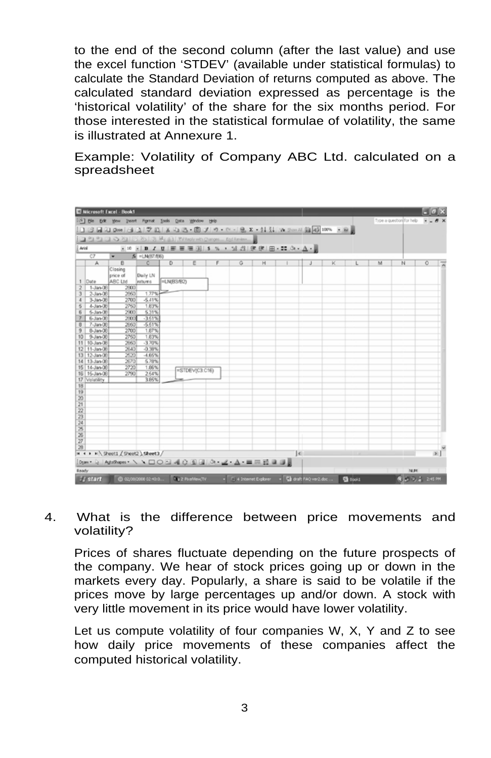to the end of the second column (after the last value) and use the excel function 'STDEV' (available under statistical formulas) to calculate the Standard Deviation of returns computed as above. The calculated standard deviation expressed as percentage is the 'historical volatility' of the share for the six months period. For those interested in the statistical formulae of volatility, the same is illustrated at Annexure 1.

Example: Volatility of Company ABC Ltd. calculated on a spreadsheet

|                       |                        | <b>El Microsoft Excel - Book1</b>  |                      |                |                                                                                                                |                                                  |   |              |   |                 |   |                          |                |
|-----------------------|------------------------|------------------------------------|----------------------|----------------|----------------------------------------------------------------------------------------------------------------|--------------------------------------------------|---|--------------|---|-----------------|---|--------------------------|----------------|
|                       |                        |                                    |                      |                | [15] Ble Edit View Insert Format Tools Data Window Help                                                        |                                                  |   |              |   |                 |   | Type a question for help |                |
|                       |                        |                                    |                      |                | $1 \leq  A  \leq 1 \leq m \leq 4 \leq 1 \leq m \leq k \leq n \leq n \leq m \leq n \leq n \leq k \leq k \leq 4$ |                                                  |   |              |   |                 |   |                          |                |
|                       |                        |                                    |                      |                | 2 21 21 3 3 31 5 35 3 34 34 Y Reply with Changes  End Review                                                   |                                                  |   |              |   |                 |   |                          |                |
| And                   |                        |                                    |                      |                |                                                                                                                |                                                  |   |              |   |                 |   |                          |                |
|                       | C7                     |                                    | IN =LN/87/86)        |                | ※10 ※10 / 12   新著理図   \$ % , 24 段   講談   田→ ## ③ → △ → ■                                                       |                                                  |   |              |   |                 |   |                          |                |
|                       | A                      | $\overline{B}$                     | $\overline{c}$       | $\overline{D}$ | Ē                                                                                                              | G                                                | н |              | κ |                 | M | N                        | $\circ$        |
|                       |                        | Closing<br>price of                | Daily LN             |                |                                                                                                                |                                                  |   |              |   |                 |   |                          |                |
| 1                     | Date                   | ABC Ltd                            | esturns              | ELNIB3/B2)     |                                                                                                                |                                                  |   |              |   |                 |   |                          |                |
|                       | 1-Jan-08               | 2900                               |                      |                |                                                                                                                |                                                  |   |              |   |                 |   |                          |                |
|                       | 2-Jan-08               | 2960                               | 1.77%                |                |                                                                                                                |                                                  |   |              |   |                 |   |                          |                |
| z                     | $3$ -Jan-08            | 2700                               | $-5.41%$             |                |                                                                                                                |                                                  |   |              |   |                 |   |                          |                |
|                       | 4-Jan-08               | 2760<br>2900                       | 1.83%<br>5.31%       |                |                                                                                                                |                                                  |   |              |   |                 |   |                          |                |
|                       | 6-Jan-0B<br>6-Jan-00   | 2000                               | $-3.61%$             |                |                                                                                                                |                                                  |   |              |   |                 |   |                          |                |
| 吉                     | $7 - Jan 00$           | 2660                               | $-5.61%$             |                |                                                                                                                |                                                  |   |              |   |                 |   |                          |                |
|                       | 8-Jan-00               | 2700                               | 1,87%                |                |                                                                                                                |                                                  |   |              |   |                 |   |                          |                |
|                       | 10 9-Jan-00            | 2750                               | 1,83%                |                |                                                                                                                |                                                  |   |              |   |                 |   |                          |                |
|                       | 11 10-Jan-08           | 2660                               | $-3.70%$             |                |                                                                                                                |                                                  |   |              |   |                 |   |                          |                |
|                       | 12 11-Jan-08           | 2640                               | $-0.38%$             |                |                                                                                                                |                                                  |   |              |   |                 |   |                          |                |
|                       | 13 12-Jan-08           | 2520                               | $-4.66%$             |                |                                                                                                                |                                                  |   |              |   |                 |   |                          |                |
|                       | 14 13-Jan-08           | 2670                               | 5.78%                |                |                                                                                                                |                                                  |   |              |   |                 |   |                          |                |
|                       | 15 14-Jan-08           | 2720                               | 1.86%                |                | =STDEV(C3.C16)                                                                                                 |                                                  |   |              |   |                 |   |                          |                |
|                       | 16 15-Jan-08           | 2790                               | 2.64%                |                |                                                                                                                |                                                  |   |              |   |                 |   |                          |                |
|                       | 17 Volatility          |                                    | 3.66%                |                |                                                                                                                |                                                  |   |              |   |                 |   |                          |                |
| 18                    |                        |                                    |                      |                |                                                                                                                |                                                  |   |              |   |                 |   |                          |                |
| $\overline{19}$       |                        |                                    |                      |                |                                                                                                                |                                                  |   |              |   |                 |   |                          |                |
| $\overline{20}$<br>21 |                        |                                    |                      |                |                                                                                                                |                                                  |   |              |   |                 |   |                          |                |
| $\overline{22}$       |                        |                                    |                      |                |                                                                                                                |                                                  |   |              |   |                 |   |                          |                |
| 23                    |                        |                                    |                      |                |                                                                                                                |                                                  |   |              |   |                 |   |                          |                |
| $^{24}$               |                        |                                    |                      |                |                                                                                                                |                                                  |   |              |   |                 |   |                          |                |
| $\overline{25}$       |                        |                                    |                      |                |                                                                                                                |                                                  |   |              |   |                 |   |                          |                |
| $\frac{26}{27}$       |                        |                                    |                      |                |                                                                                                                |                                                  |   |              |   |                 |   |                          |                |
|                       |                        |                                    |                      |                |                                                                                                                |                                                  |   |              |   |                 |   |                          |                |
| 28                    |                        |                                    |                      |                |                                                                                                                |                                                  |   |              |   |                 |   |                          |                |
|                       |                        | = < > = \Sheet1 / Sheet2 \Sheet3 / |                      |                |                                                                                                                |                                                  |   | $\mathbf{E}$ |   |                 |   |                          | 5 <sup>1</sup> |
|                       |                        |                                    |                      |                | [Dom · Q   Adolbass · \ \ □○□ 40 回国 ③ · ヹ · A · 三同芸目目                                                          |                                                  |   |              |   |                 |   |                          |                |
| Ready                 |                        |                                    |                      |                |                                                                                                                |                                                  |   |              |   |                 |   | <b>NUM</b>               |                |
|                       | <b><i>St</i></b> start |                                    | © 02/06/2008 02:40:0 |                | <b>First FloatMex(TV</b>                                                                                       | - C. 4 Internet Explorer - Ca draft FAQ ver2.doc |   |              |   | <b>Ca</b> Dook1 |   |                          | 夜山 元音 200000   |

#### 4. What is the difference between price movements and volatility?

Prices of shares fluctuate depending on the future prospects of the company. We hear of stock prices going up or down in the markets every day. Popularly, a share is said to be volatile if the prices move by large percentages up and/or down. A stock with very little movement in its price would have lower volatility.

Let us compute volatility of four companies W, X, Y and Z to see how daily price movements of these companies affect the computed historical volatility.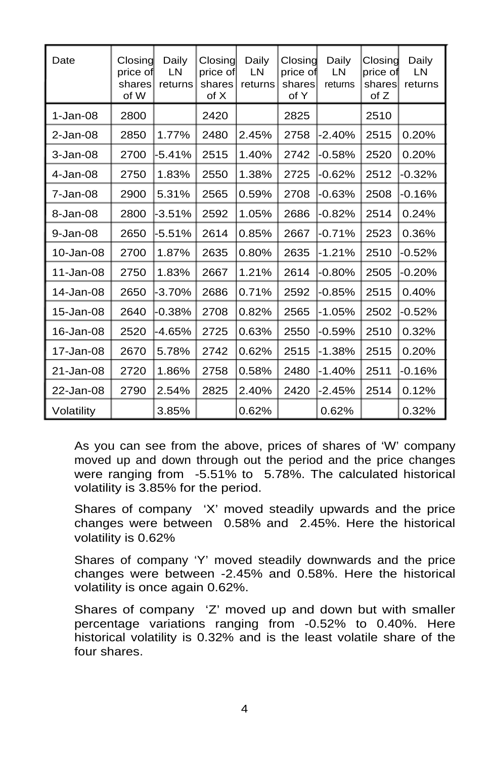| Date         | Closing<br>price of<br>shares<br>of W | Daily<br>LN<br>returns | Closing<br>price of<br>shares<br>of X | Daily<br>LN<br>returns | Closing<br>price of<br>shares<br>of Y | Daily<br>LN<br>returns | Closing<br>price of<br>sharesl<br>of Z | Daily<br>LN<br>returns |
|--------------|---------------------------------------|------------------------|---------------------------------------|------------------------|---------------------------------------|------------------------|----------------------------------------|------------------------|
| $1-Jan-08$   | 2800                                  |                        | 2420                                  |                        | 2825                                  |                        | 2510                                   |                        |
| $2$ -Jan-08  | 2850                                  | 1.77%                  | 2480                                  | 2.45%                  | 2758                                  | $-2.40%$               | 2515                                   | 0.20%                  |
| $3 - Jan-08$ | 2700                                  | -5.41%                 | 2515                                  | 1.40%                  | 2742                                  | $-0.58%$               | 2520                                   | 0.20%                  |
| $4$ -Jan-08  | 2750                                  | 1.83%                  | 2550                                  | 1.38%                  | 2725                                  | $-0.62%$               | 2512                                   | $-0.32%$               |
| 7-Jan-08     | 2900                                  | 5.31%                  | 2565                                  | 0.59%                  | 2708                                  | $-0.63%$               | 2508                                   | $-0.16%$               |
| 8-Jan-08     | 2800                                  | -3.51%                 | 2592                                  | 1.05%                  | 2686                                  | $-0.82%$               | 2514                                   | 0.24%                  |
| 9-Jan-08     | 2650                                  | -5.51%                 | 2614                                  | 0.85%                  | 2667                                  | $-0.71%$               | 2523                                   | 0.36%                  |
| 10-Jan-08    | 2700                                  | 1.87%                  | 2635                                  | 0.80%                  | 2635                                  | $-1.21%$               | 2510                                   | $-0.52%$               |
| 11-Jan-08    | 2750                                  | 1.83%                  | 2667                                  | 1.21%                  | 2614                                  | $-0.80%$               | 2505                                   | $-0.20%$               |
| 14-Jan-08    | 2650                                  | $-3.70\%$              | 2686                                  | 0.71%                  | 2592                                  | $-0.85%$               | 2515                                   | 0.40%                  |
| 15-Jan-08    | 2640                                  | $-0.38\%$              | 2708                                  | 0.82%                  | 2565                                  | $-1.05%$               | 2502                                   | $-0.52%$               |
| 16-Jan-08    | 2520                                  | -4.65%                 | 2725                                  | 0.63%                  | 2550                                  | $-0.59%$               | 2510                                   | 0.32%                  |
| 17-Jan-08    | 2670                                  | 5.78%                  | 2742                                  | 0.62%                  | 2515                                  | $-1.38%$               | 2515                                   | 0.20%                  |
| 21-Jan-08    | 2720                                  | 1.86%                  | 2758                                  | 0.58%                  | 2480                                  | $-1.40%$               | 2511                                   | $-0.16%$               |
| 22-Jan-08    | 2790                                  | 2.54%                  | 2825                                  | 2.40%                  | 2420                                  | $-2.45%$               | 2514                                   | 0.12%                  |
| Volatility   |                                       | 3.85%                  |                                       | 0.62%                  |                                       | 0.62%                  |                                        | 0.32%                  |

As you can see from the above, prices of shares of 'W' company moved up and down through out the period and the price changes were ranging from -5.51% to 5.78%. The calculated historical volatility is 3.85% for the period.

Shares of company 'X' moved steadily upwards and the price changes were between 0.58% and 2.45%. Here the historical volatility is 0.62%

Shares of company 'Y' moved steadily downwards and the price changes were between -2.45% and 0.58%. Here the historical volatility is once again 0.62%.

Shares of company 'Z' moved up and down but with smaller percentage variations ranging from -0.52% to 0.40%. Here historical volatility is 0.32% and is the least volatile share of the four shares.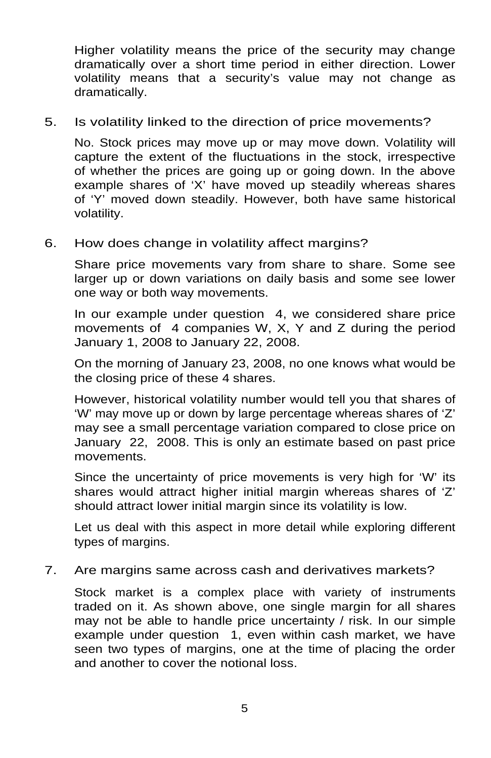Higher volatility means the price of the security may change dramatically over a short time period in either direction. Lower volatility means that a security's value may not change as dramatically.

#### 5. Is volatility linked to the direction of price movements?

No. Stock prices may move up or may move down. Volatility will capture the extent of the fluctuations in the stock, irrespective of whether the prices are going up or going down. In the above example shares of 'X' have moved up steadily whereas shares of 'Y' moved down steadily. However, both have same historical volatility.

#### 6. How does change in volatility affect margins?

Share price movements vary from share to share. Some see larger up or down variations on daily basis and some see lower one way or both way movements.

In our example under question 4, we considered share price movements of 4 companies W, X, Y and Z during the period January 1, 2008 to January 22, 2008.

On the morning of January 23, 2008, no one knows what would be the closing price of these 4 shares.

However, historical volatility number would tell you that shares of 'W' may move up or down by large percentage whereas shares of 'Z' may see a small percentage variation compared to close price on January 22, 2008. This is only an estimate based on past price movements.

Since the uncertainty of price movements is very high for 'W' its shares would attract higher initial margin whereas shares of 'Z' should attract lower initial margin since its volatility is low.

Let us deal with this aspect in more detail while exploring different types of margins.

7. Are margins same across cash and derivatives markets?

Stock market is a complex place with variety of instruments traded on it. As shown above, one single margin for all shares may not be able to handle price uncertainty / risk. In our simple example under question 1, even within cash market, we have seen two types of margins, one at the time of placing the order and another to cover the notional loss.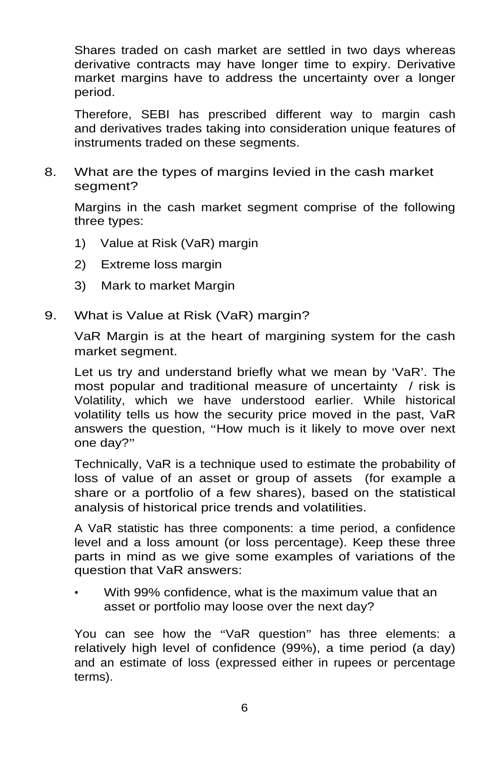Shares traded on cash market are settled in two days whereas derivative contracts may have longer time to expiry. Derivative market margins have to address the uncertainty over a longer period.

Therefore, SEBI has prescribed different way to margin cash and derivatives trades taking into consideration unique features of instruments traded on these segments.

8. What are the types of margins levied in the cash market segment?

Margins in the cash market segment comprise of the following three types:

- 1) Value at Risk (VaR) margin
- 2) Extreme loss margin
- 3) Mark to market Margin
- 9. What is Value at Risk (VaR) margin?

VaR Margin is at the heart of margining system for the cash market segment.

Let us try and understand briefly what we mean by 'VaR'. The most popular and traditional measure of uncertainty / risk is Volatility, which we have understood earlier. While historical volatility tells us how the security price moved in the past, VaR answers the question, "How much is it likely to move over next one day?"

Technically, VaR is a technique used to estimate the probability of loss of value of an asset or group of assets (for example a share or a portfolio of a few shares), based on the statistical analysis of historical price trends and volatilities.

A VaR statistic has three components: a time period, a confidence level and a loss amount (or loss percentage). Keep these three parts in mind as we give some examples of variations of the question that VaR answers:

• With 99% confidence, what is the maximum value that an asset or portfolio may loose over the next day?

You can see how the "VaR question" has three elements: a relatively high level of confidence (99%), a time period (a day) and an estimate of loss (expressed either in rupees or percentage terms).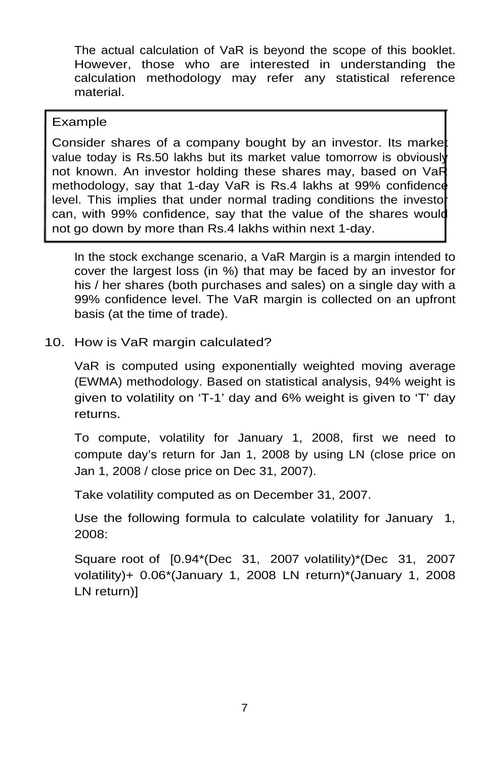The actual calculation of VaR is beyond the scope of this booklet. However, those who are interested in understanding the calculation methodology may refer any statistical reference material.

## Example

Consider shares of a company bought by an investor. Its market value today is Rs.50 lakhs but its market value tomorrow is obviously not known. An investor holding these shares may, based on VaR methodology, say that 1-day VaR is Rs.4 lakhs at 99% confidence level. This implies that under normal trading conditions the investo can, with 99% confidence, say that the value of the shares would not go down by more than Rs.4 lakhs within next 1-day.

In the stock exchange scenario, a VaR Margin is a margin intended to cover the largest loss (in %) that may be faced by an investor for his / her shares (both purchases and sales) on a single day with a 99% confidence level. The VaR margin is collected on an upfront basis (at the time of trade).

10. How is VaR margin calculated?

VaR is computed using exponentially weighted moving average (EWMA) methodology. Based on statistical analysis, 94% weight is given to volatility on 'T-1' day and 6% weight is given to 'T' day returns.

To compute, volatility for January 1, 2008, first we need to compute day's return for Jan 1, 2008 by using LN (close price on Jan 1, 2008 / close price on Dec 31, 2007).

Take volatility computed as on December 31, 2007.

Use the following formula to calculate volatility for January 1, 2008:

Square root of [0.94\*(Dec 31, 2007 volatility)\*(Dec 31, 2007 volatility)+ 0.06\*(January 1, 2008 LN return)\*(January 1, 2008 LN return)]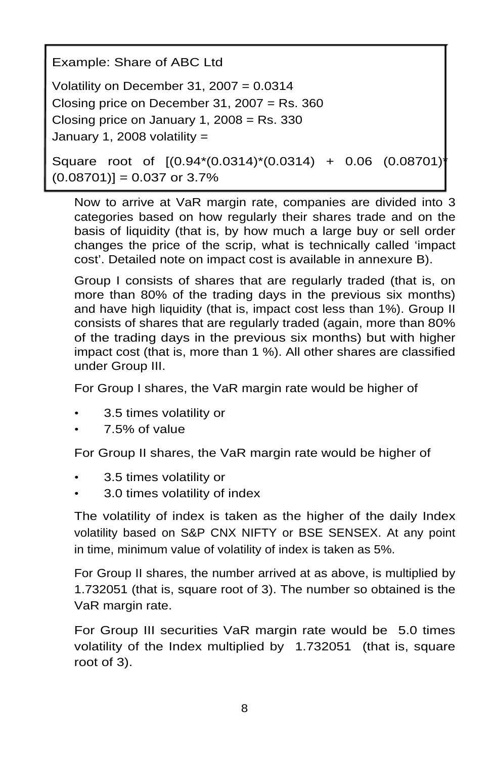Example: Share of ABC Ltd

Volatility on December 31,  $2007 = 0.0314$ Closing price on December 31, 2007 = Rs. 360 Closing price on January 1, 2008 =  $Rs. 330$ January 1, 2008 volatility =

```
Square root of [(0.94*(0.0314)*(0.0314) + 0.06 (0.08701)* 
(0.08701)] = 0.037 or 3.7%
```
Now to arrive at VaR margin rate, companies are divided into 3 categories based on how regularly their shares trade and on the basis of liquidity (that is, by how much a large buy or sell order changes the price of the scrip, what is technically called 'impact cost'. Detailed note on impact cost is available in annexure B).

Group I consists of shares that are regularly traded (that is, on more than 80% of the trading days in the previous six months) and have high liquidity (that is, impact cost less than 1%). Group II consists of shares that are regularly traded (again, more than 80% of the trading days in the previous six months) but with higher impact cost (that is, more than 1 %). All other shares are classified under Group III.

For Group I shares, the VaR margin rate would be higher of

- 3.5 times volatility or
- 7.5% of value

For Group II shares, the VaR margin rate would be higher of

- 3.5 times volatility or
- 3.0 times volatility of index

The volatility of index is taken as the higher of the daily Index volatility based on S&P CNX NIFTY or BSE SENSEX. At any point in time, minimum value of volatility of index is taken as 5%.

For Group II shares, the number arrived at as above, is multiplied by 1.732051 (that is, square root of 3). The number so obtained is the VaR margin rate.

For Group III securities VaR margin rate would be 5.0 times volatility of the Index multiplied by 1.732051 (that is, square root of 3).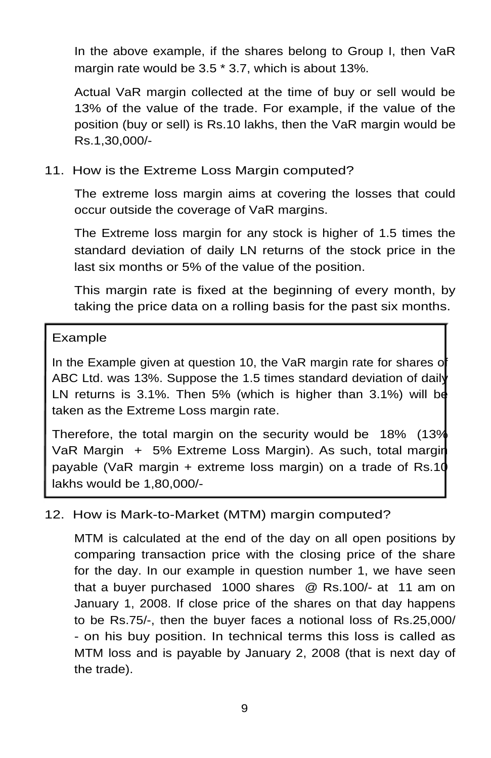In the above example, if the shares belong to Group I, then VaR margin rate would be 3.5 \* 3.7, which is about 13%.

Actual VaR margin collected at the time of buy or sell would be 13% of the value of the trade. For example, if the value of the position (buy or sell) is Rs.10 lakhs, then the VaR margin would be Rs.1,30,000/-

11. How is the Extreme Loss Margin computed?

The extreme loss margin aims at covering the losses that could occur outside the coverage of VaR margins.

The Extreme loss margin for any stock is higher of 1.5 times the standard deviation of daily LN returns of the stock price in the last six months or 5% of the value of the position.

This margin rate is fixed at the beginning of every month, by taking the price data on a rolling basis for the past six months.

## Example

In the Example given at question 10, the VaR margin rate for shares o ABC Ltd. was 13%. Suppose the 1.5 times standard deviation of daily LN returns is 3.1%. Then 5% (which is higher than 3.1%) will be taken as the Extreme Loss margin rate.

Therefore, the total margin on the security would be 18% (13% VaR Margin + 5% Extreme Loss Margin). As such, total margin payable (VaR margin + extreme loss margin) on a trade of Rs.10 lakhs would be 1,80,000/-

## 12. How is Mark-to-Market (MTM) margin computed?

MTM is calculated at the end of the day on all open positions by comparing transaction price with the closing price of the share for the day. In our example in question number 1, we have seen that a buyer purchased 1000 shares @ Rs.100/- at 11 am on January 1, 2008. If close price of the shares on that day happens to be Rs.75/-, then the buyer faces a notional loss of Rs.25,000/ - on his buy position. In technical terms this loss is called as MTM loss and is payable by January 2, 2008 (that is next day of the trade).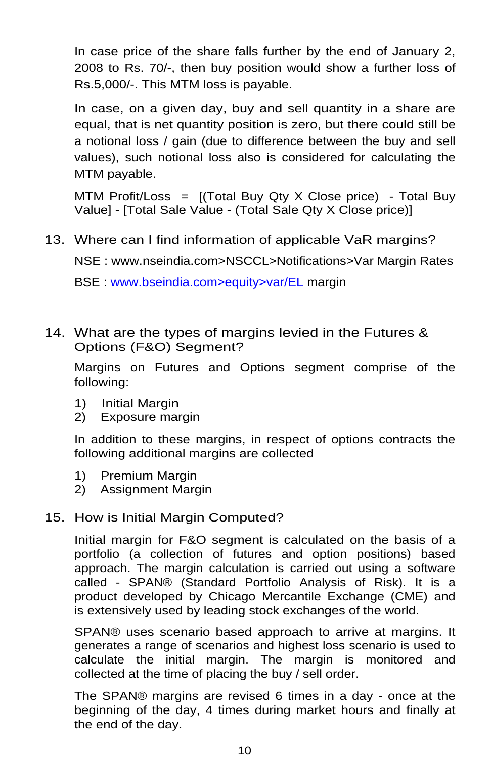In case price of the share falls further by the end of January 2, 2008 to Rs. 70/-, then buy position would show a further loss of Rs.5,000/-. This MTM loss is payable.

In case, on a given day, buy and sell quantity in a share are equal, that is net quantity position is zero, but there could still be a notional loss / gain (due to difference between the buy and sell values), such notional loss also is considered for calculating the MTM payable.

MTM Profit/Loss =  $[(Total Buy Qty X Close price) - Total Buy$ Value] - [Total Sale Value - (Total Sale Qty X Close price)]

13. Where can I find information of applicable VaR margins?

NSE : [www.nseindia.com>](http://www.nseindia.com/)NSCCL>Notifications>Var Margin Rates

BSE : [www.bseindia.com>equity>var/EL](http://www.bseindia.com/mktlive/market_summ/margin.asp) margin

14. What are the types of margins levied in the Futures & Options (F&O) Segment?

Margins on Futures and Options segment comprise of the following:

- 1) Initial Margin
- 2) Exposure margin

In addition to these margins, in respect of options contracts the following additional margins are collected

- 1) Premium Margin
- 2) Assignment Margin

## 15. How is Initial Margin Computed?

Initial margin for F&O segment is calculated on the basis of a portfolio (a collection of futures and option positions) based approach. The margin calculation is carried out using a software called - SPAN® (Standard Portfolio Analysis of Risk). It is a product developed by Chicago Mercantile Exchange (CME) and is extensively used by leading stock exchanges of the world.

SPAN® uses scenario based approach to arrive at margins. It generates a range of scenarios and highest loss scenario is used to calculate the initial margin. The margin is monitored and collected at the time of placing the buy / sell order.

The SPAN® margins are revised 6 times in a day - once at the beginning of the day, 4 times during market hours and finally at the end of the day.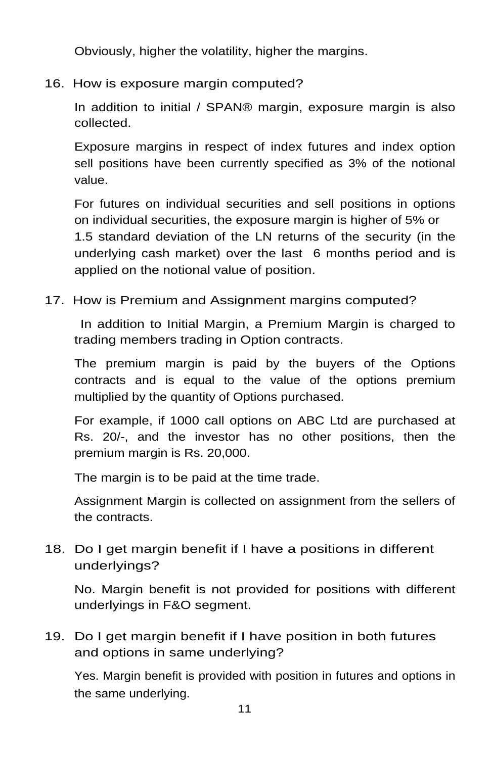Obviously, higher the volatility, higher the margins.

16. How is exposure margin computed?

In addition to initial / SPAN® margin, exposure margin is also collected.

Exposure margins in respect of index futures and index option sell positions have been currently specified as 3% of the notional value.

For futures on individual securities and sell positions in options on individual securities, the exposure margin is higher of 5% or 1.5 standard deviation of the LN returns of the security (in the underlying cash market) over the last 6 months period and is applied on the notional value of position.

17. How is Premium and Assignment margins computed?

In addition to Initial Margin, a Premium Margin is charged to trading members trading in Option contracts.

The premium margin is paid by the buyers of the Options contracts and is equal to the value of the options premium multiplied by the quantity of Options purchased.

For example, if 1000 call options on ABC Ltd are purchased at Rs. 20/-, and the investor has no other positions, then the premium margin is Rs. 20,000.

The margin is to be paid at the time trade.

Assignment Margin is collected on assignment from the sellers of the contracts.

18. Do I get margin benefit if I have a positions in different underlyings?

No. Margin benefit is not provided for positions with different underlyings in F&O segment.

19. Do I get margin benefit if I have position in both futures and options in same underlying?

Yes. Margin benefit is provided with position in futures and options in the same underlying.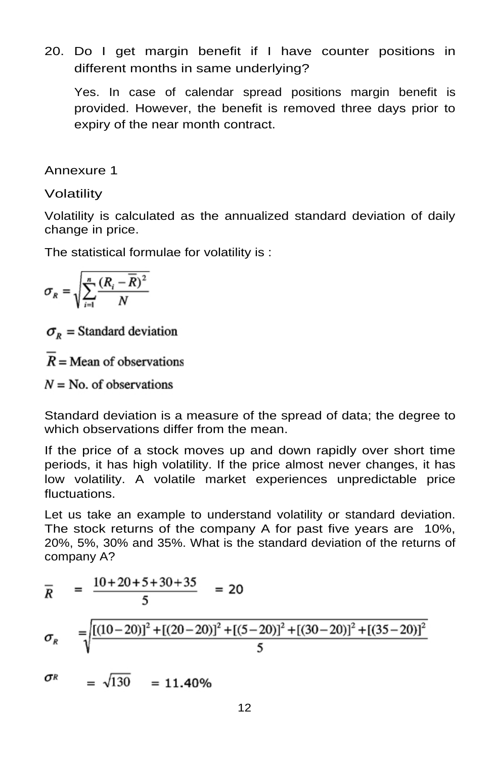20. Do I get margin benefit if I have counter positions in different months in same underlying?

Yes. In case of calendar spread positions margin benefit is provided. However, the benefit is removed three days prior to expiry of the near month contract.

Annexure 1

## Volatility

Volatility is calculated as the annualized standard deviation of daily change in price.

The statistical formulae for volatility is :

$$
\sigma_R = \sqrt{\sum_{i=1}^n \frac{(R_i - \overline{R})^2}{N}}
$$

 $\sigma_{\nu}$  = Standard deviation

 $R =$  Mean of observations

 $N = No$ , of observations

Standard deviation is a measure of the spread of data; the degree to which observations differ from the mean.

If the price of a stock moves up and down rapidly over short time periods, it has high volatility. If the price almost never changes, it has low volatility. A volatile market experiences unpredictable price fluctuations.

Let us take an example to understand volatility or standard deviation. The stock returns of the company A for past five years are 10%, 20%, 5%, 30% and 35%. What is the standard deviation of the returns of company A?

$$
\overline{R} = \frac{10 + 20 + 5 + 30 + 35}{5} = 20
$$
  

$$
\sigma_R = \sqrt{\frac{[(10 - 20)]^2 + [(20 - 20)]^2 + [(5 - 20)]^2 + [(30 - 20)]^2 + [(35 - 20)]^2}{5}}
$$

σR  $=\sqrt{130} = 11.40\%$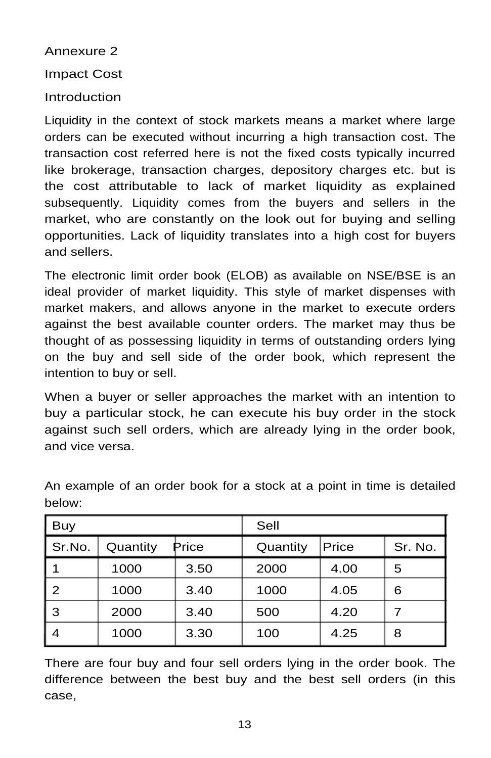#### Annexure 2

## Impact Cost

## Introduction

Liquidity in the context of stock markets means a market where large orders can be executed without incurring a high transaction cost. The transaction cost referred here is not the fixed costs typically incurred like brokerage, transaction charges, depository charges etc. but is the cost attributable to lack of market liquidity as explained subsequently. Liquidity comes from the buyers and sellers in the market, who are constantly on the look out for buying and selling opportunities. Lack of liquidity translates into a high cost for buyers and sellers.

The electronic limit order book (ELOB) as available on NSE/BSE is an ideal provider of market liquidity. This style of market dispenses with market makers, and allows anyone in the market to execute orders against the best available counter orders. The market may thus be thought of as possessing liquidity in terms of outstanding orders lying on the buy and sell side of the order book, which represent the intention to buy or sell.

When a buyer or seller approaches the market with an intention to buy a particular stock, he can execute his buy order in the stock against such sell orders, which are already lying in the order book, and vice versa.

| Buy    |          |       | Sell     |       |         |  |  |
|--------|----------|-------|----------|-------|---------|--|--|
| Sr.No. | Quantity | Price | Quantity | Price | Sr. No. |  |  |
|        | 1000     | 3.50  | 2000     | 4.00  | 5       |  |  |
| 2      | 1000     | 3.40  | 1000     | 4.05  | 6       |  |  |
| 3      | 2000     | 3.40  | 500      | 4.20  |         |  |  |
| 4      | 1000     | 3.30  | 100      | 4.25  | 8       |  |  |

An example of an order book for a stock at a point in time is detailed below:

There are four buy and four sell orders lying in the order book. The difference between the best buy and the best sell orders (in this case,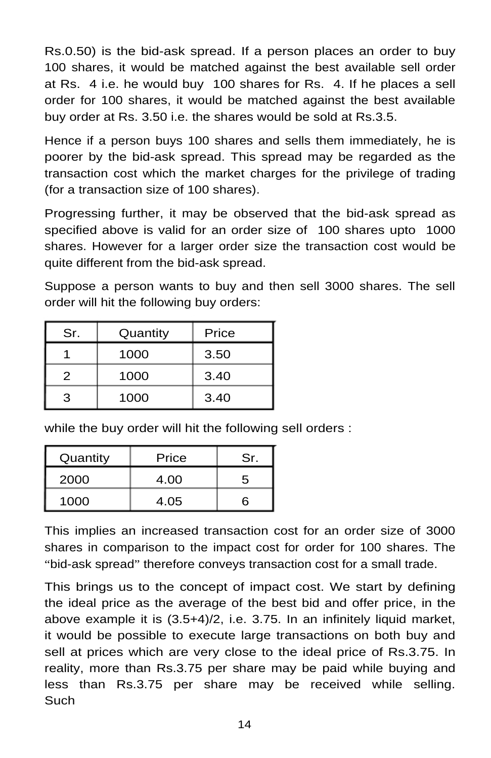Rs.0.50) is the bid-ask spread. If a person places an order to buy 100 shares, it would be matched against the best available sell order at Rs. 4 i.e. he would buy 100 shares for Rs. 4. If he places a sell order for 100 shares, it would be matched against the best available buy order at Rs. 3.50 i.e. the shares would be sold at Rs.3.5.

Hence if a person buys 100 shares and sells them immediately, he is poorer by the bid-ask spread. This spread may be regarded as the transaction cost which the market charges for the privilege of trading (for a transaction size of 100 shares).

Progressing further, it may be observed that the bid-ask spread as specified above is valid for an order size of 100 shares upto 1000 shares. However for a larger order size the transaction cost would be quite different from the bid-ask spread.

Suppose a person wants to buy and then sell 3000 shares. The sell order will hit the following buy orders:

| Sr. | Quantity | Price |  |  |
|-----|----------|-------|--|--|
|     | 1000     | 3.50  |  |  |
| 2   | 1000     | 3.40  |  |  |
| З   | 1000     | 3.40  |  |  |

while the buy order will hit the following sell orders :

| Quantity | Price | Sr. |  |
|----------|-------|-----|--|
| 2000     | 4.00  | 5   |  |
| 1000     | 4.05  | ิธ  |  |

This implies an increased transaction cost for an order size of 3000 shares in comparison to the impact cost for order for 100 shares. The "bid-ask spread" therefore conveys transaction cost for a small trade.

This brings us to the concept of impact cost. We start by defining the ideal price as the average of the best bid and offer price, in the above example it is (3.5+4)/2, i.e. 3.75. In an infinitely liquid market, it would be possible to execute large transactions on both buy and sell at prices which are very close to the ideal price of Rs.3.75. In reality, more than Rs.3.75 per share may be paid while buying and less than Rs.3.75 per share may be received while selling. Such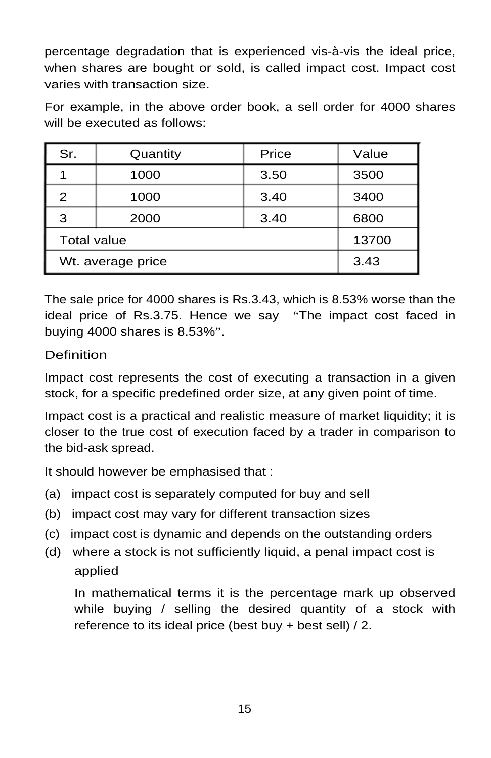percentage degradation that is experienced vis-à-vis the ideal price, when shares are bought or sold, is called impact cost. Impact cost varies with transaction size.

For example, in the above order book, a sell order for 4000 shares will be executed as follows:

| Sr.                | Quantity | Price | Value |  |
|--------------------|----------|-------|-------|--|
|                    | 1000     | 3.50  | 3500  |  |
| 2                  | 1000     | 3.40  | 3400  |  |
| 3                  | 2000     | 3.40  | 6800  |  |
| <b>Total value</b> | 13700    |       |       |  |
| Wt. average price  | 3.43     |       |       |  |

The sale price for 4000 shares is Rs.3.43, which is 8.53% worse than the ideal price of Rs.3.75. Hence we say "The impact cost faced in buying 4000 shares is 8.53%".

## **Definition**

Impact cost represents the cost of executing a transaction in a given stock, for a specific predefined order size, at any given point of time.

Impact cost is a practical and realistic measure of market liquidity; it is closer to the true cost of execution faced by a trader in comparison to the bid-ask spread.

It should however be emphasised that :

- (a) impact cost is separately computed for buy and sell
- (b) impact cost may vary for different transaction sizes
- (c) impact cost is dynamic and depends on the outstanding orders
- (d) where a stock is not sufficiently liquid, a penal impact cost is applied

In mathematical terms it is the percentage mark up observed while buying / selling the desired quantity of a stock with reference to its ideal price (best buy + best sell) / 2.